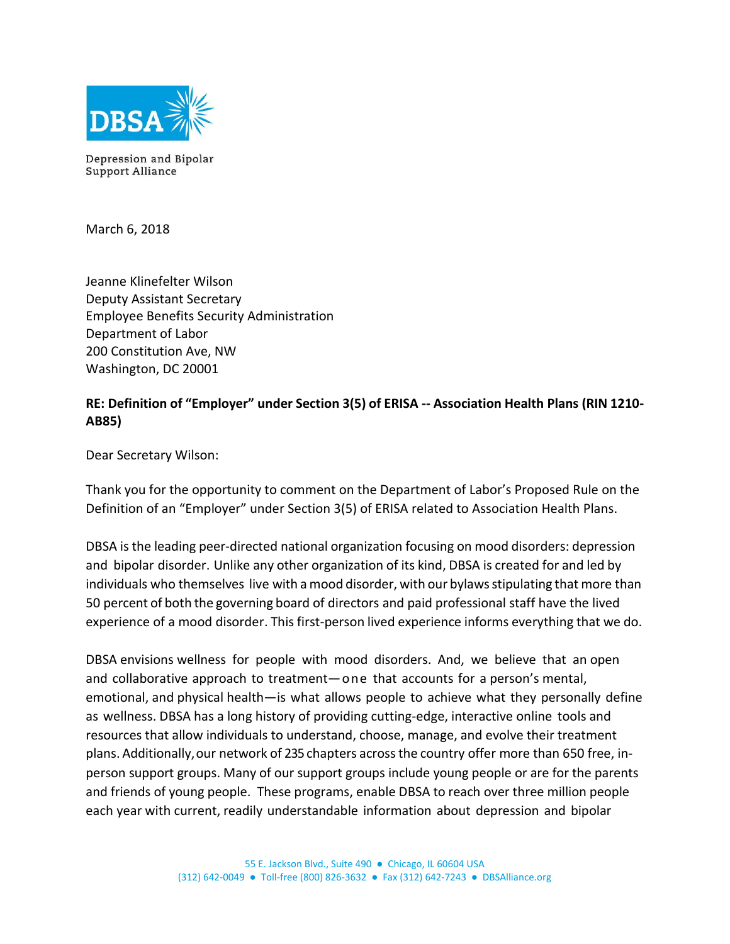

Depression and Bipolar Support Alliance

March 6, 2018

Jeanne Klinefelter Wilson Deputy Assistant Secretary Employee Benefits Security Administration Department of Labor 200 Constitution Ave, NW Washington, DC 20001

# **RE: Definition of "Employer" under Section 3(5) of ERISA -- Association Health Plans (RIN 1210- AB85)**

Dear Secretary Wilson:

Thank you for the opportunity to comment on the Department of Labor's Proposed Rule on the Definition of an "Employer" under Section 3(5) of ERISA related to Association Health Plans.

DBSA is the leading peer-directed national organization focusing on mood disorders: depression and bipolar disorder. Unlike any other organization of its kind, DBSA is created for and led by individuals who themselves live with a mood disorder, with our bylawsstipulating that more than 50 percent of both the governing board of directors and paid professional staff have the lived experience of a mood disorder. This first-person lived experience informs everything that we do.

DBSA envisions wellness for people with mood disorders. And, we believe that an open and collaborative approach to treatment―one that accounts for a person's mental, emotional, and physical health―is what allows people to achieve what they personally define as wellness. DBSA has a long history of providing cutting-edge, interactive online tools and resources that allow individuals to understand, choose, manage, and evolve their treatment plans. Additionally, our network of 235 chapters acrossthe country offer more than 650 free, inperson support groups. Many of our support groups include young people or are for the parents and friends of young people. These programs, enable DBSA to reach over three million people each year with current, readily understandable information about depression and bipolar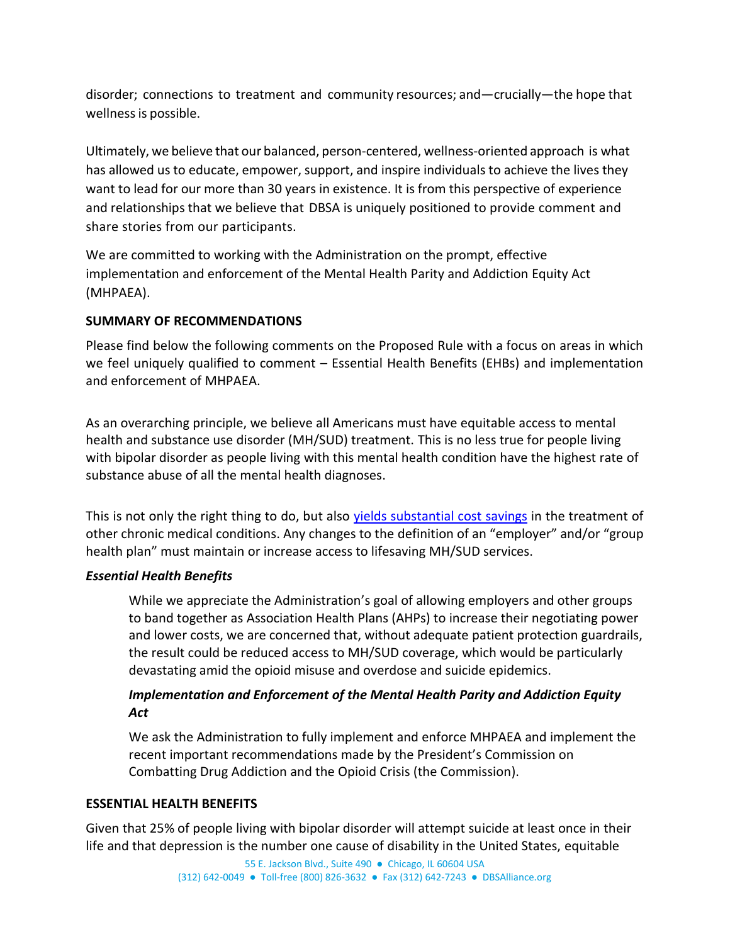disorder; connections to treatment and community resources; and—crucially—the hope that wellness is possible.

Ultimately, we believe that our balanced, person-centered, wellness-oriented approach is what has allowed us to educate, empower, support, and inspire individuals to achieve the lives they want to lead for our more than 30 years in existence. It is from this perspective of experience and relationships that we believe that DBSA is uniquely positioned to provide comment and share stories from our participants.

We are committed to working with the Administration on the prompt, effective implementation and enforcement of the Mental Health Parity and Addiction Equity Act (MHPAEA).

## **SUMMARY OF RECOMMENDATIONS**

Please find below the following comments on the Proposed Rule with a focus on areas in which we feel uniquely qualified to comment – Essential Health Benefits (EHBs) and implementation and enforcement of MHPAEA.

As an overarching principle, we believe all Americans must have equitable access to mental health and substance use disorder (MH/SUD) treatment. This is no less true for people living with bipolar disorder as people living with this mental health condition have the highest rate of substance abuse of all the mental health diagnoses.

This is not only the right thing to do, but also [yields substantial cost savings](https://www.ncbi.nlm.nih.gov/pubmed/12618639) in the treatment of other chronic medical conditions. Any changes to the definition of an "employer" and/or "group health plan" must maintain or increase access to lifesaving MH/SUD services.

### *Essential Health Benefits*

While we appreciate the Administration's goal of allowing employers and other groups to band together as Association Health Plans (AHPs) to increase their negotiating power and lower costs, we are concerned that, without adequate patient protection guardrails, the result could be reduced access to MH/SUD coverage, which would be particularly devastating amid the opioid misuse and overdose and suicide epidemics.

## *Implementation and Enforcement of the Mental Health Parity and Addiction Equity Act*

We ask the Administration to fully implement and enforce MHPAEA and implement the recent important recommendations made by the President's Commission on Combatting Drug Addiction and the Opioid Crisis (the Commission).

### **ESSENTIAL HEALTH BENEFITS**

Given that 25% of people living with bipolar disorder will attempt suicide at least once in their life and that depression is the number one cause of disability in the United States, equitable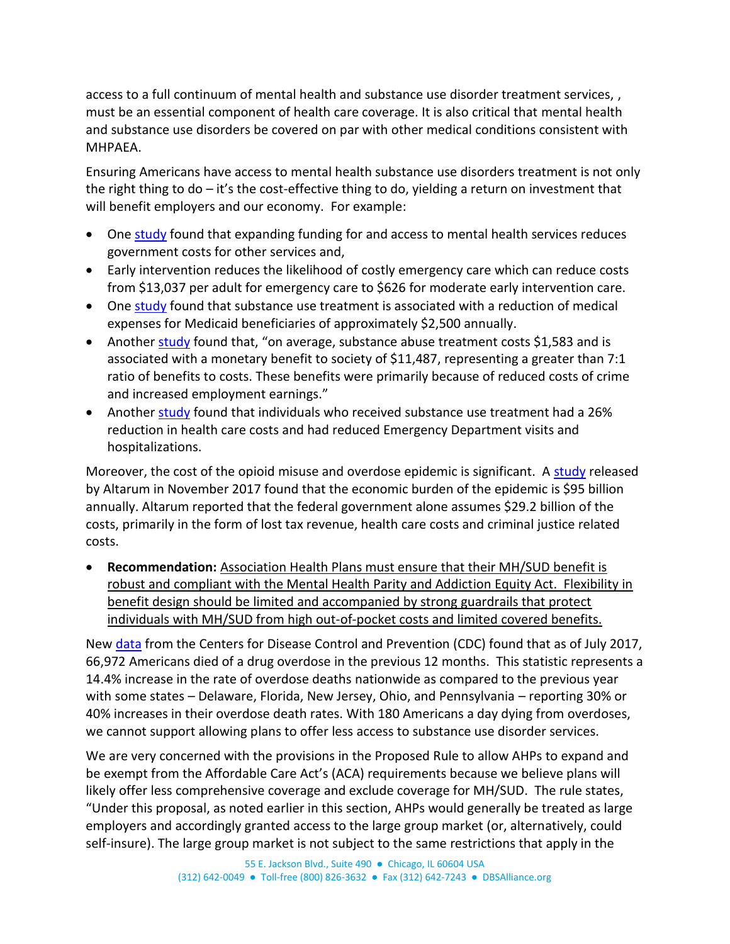access to a full continuum of mental health and substance use disorder treatment services, , must be an essential component of health care coverage. It is also critical that mental health and substance use disorders be covered on par with other medical conditions consistent with MHPAEA.

Ensuring Americans have access to mental health substance use disorders treatment is not only the right thing to do – it's the cost-effective thing to do, yielding a return on investment that will benefit employers and our economy. For example:

- One [study](http://www.andersoneconomicgroup.com/Publications/Detail/tabid/125/articleType/ArticleView/articleId/7991/Cost-and-Benefits-of-Investing-in-Mental-Health-Services-in-Michigan.aspx) found that expanding funding for and access to mental health services reduces government costs for other services and,
- Early intervention reduces the likelihood of costly emergency care which can reduce costs from \$13,037 per adult for emergency care to \$626 for moderate early intervention care.
- One [study](https://www.ncbi.nlm.nih.gov/pmc/articles/PMC2690254/) found that substance use treatment is associated with a reduction of medical expenses for Medicaid beneficiaries of approximately \$2,500 annually.
- Another [study](https://www.ncbi.nlm.nih.gov/pmc/articles/PMC1681530/) found that, "on average, substance abuse treatment costs \$1,583 and is associated with a monetary benefit to society of \$11,487, representing a greater than 7:1 ratio of benefits to costs. These benefits were primarily because of reduced costs of crime and increased employment earnings."
- Another [study](https://www.ncbi.nlm.nih.gov/pubmed/11271969) found that individuals who received substance use treatment had a 26% reduction in health care costs and had reduced Emergency Department visits and hospitalizations.

Moreover, the cost of the opioid misuse and overdose epidemic is significant. A [study](https://altarum.org/publications/the-potential-societal-benefit-of-eliminating-opioid-overdoses-deaths-and-substance-use-disorders) released by Altarum in November 2017 found that the economic burden of the epidemic is \$95 billion annually. Altarum reported that the federal government alone assumes \$29.2 billion of the costs, primarily in the form of lost tax revenue, health care costs and criminal justice related costs.

• **Recommendation:** Association Health Plans must ensure that their MH/SUD benefit is robust and compliant with the Mental Health Parity and Addiction Equity Act. Flexibility in benefit design should be limited and accompanied by strong guardrails that protect individuals with MH/SUD from high out-of-pocket costs and limited covered benefits.

New [data](https://www.cdc.gov/nchs/nvss/vsrr/drug-overdose-data.htm) from the Centers for Disease Control and Prevention (CDC) found that as of July 2017, 66,972 Americans died of a drug overdose in the previous 12 months. This statistic represents a 14.4% increase in the rate of overdose deaths nationwide as compared to the previous year with some states – Delaware, Florida, New Jersey, Ohio, and Pennsylvania – reporting 30% or 40% increases in their overdose death rates. With 180 Americans a day dying from overdoses, we cannot support allowing plans to offer less access to substance use disorder services.

We are very concerned with the provisions in the Proposed Rule to allow AHPs to expand and be exempt from the Affordable Care Act's (ACA) requirements because we believe plans will likely offer less comprehensive coverage and exclude coverage for MH/SUD. The rule states, "Under this proposal, as noted earlier in this section, AHPs would generally be treated as large employers and accordingly granted access to the large group market (or, alternatively, could self-insure). The large group market is not subject to the same restrictions that apply in the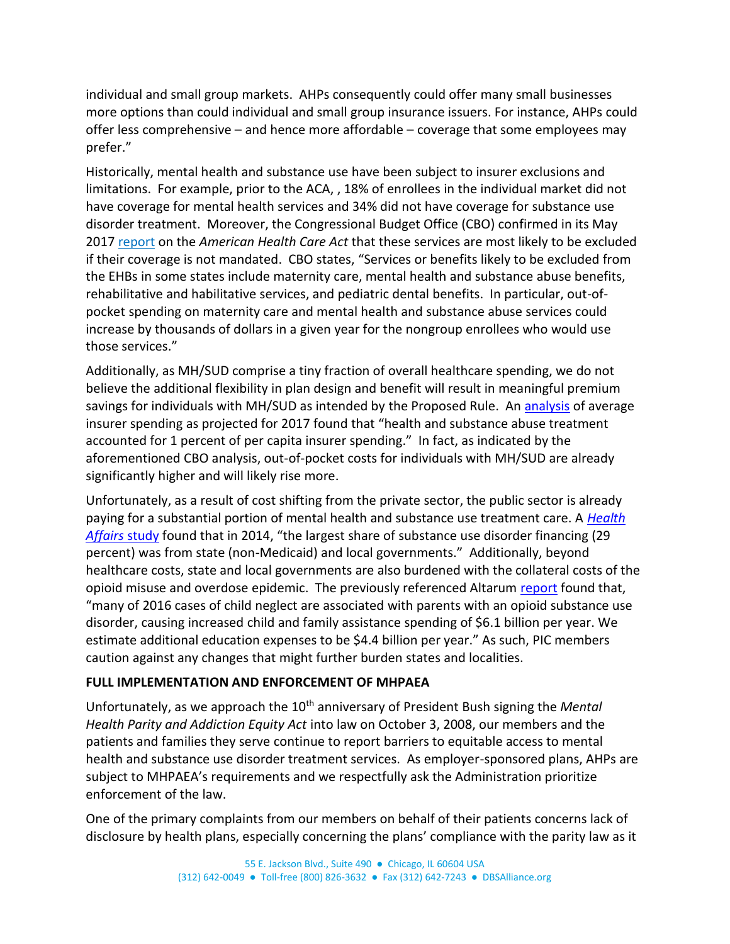individual and small group markets. AHPs consequently could offer many small businesses more options than could individual and small group insurance issuers. For instance, AHPs could offer less comprehensive – and hence more affordable – coverage that some employees may prefer."

Historically, mental health and substance use have been subject to insurer exclusions and limitations. For example, prior to the ACA, , 18% of enrollees in the individual market did not have coverage for mental health services and 34% did not have coverage for substance use disorder treatment. Moreover, the Congressional Budget Office (CBO) confirmed in its May 2017 [report](https://www.cbo.gov/publication/52752) on the *American Health Care Act* that these services are most likely to be excluded if their coverage is not mandated. CBO states, "Services or benefits likely to be excluded from the EHBs in some states include maternity care, mental health and substance abuse benefits, rehabilitative and habilitative services, and pediatric dental benefits. In particular, out-ofpocket spending on maternity care and mental health and substance abuse services could increase by thousands of dollars in a given year for the nongroup enrollees who would use those services."

Additionally, as MH/SUD comprise a tiny fraction of overall healthcare spending, we do not believe the additional flexibility in plan design and benefit will result in meaningful premium savings for individuals with MH/SUD as intended by the Proposed Rule. An [analysis](http://www.commonwealthfund.org/publications/blog/2017/may/maternity-care-and-mental-health-coverage-requirements?omnicid=EALERT1212495&mid=hmerbaum@capitoldecisions.com) of average insurer spending as projected for 2017 found that "health and substance abuse treatment accounted for 1 percent of per capita insurer spending." In fact, as indicated by the aforementioned CBO analysis, out-of-pocket costs for individuals with MH/SUD are already significantly higher and will likely rise more.

Unfortunately, as a result of cost shifting from the private sector, the public sector is already paying for a substantial portion of mental health and substance use treatment care. A *[Health](http://www.healthaffairs.org/doi/10.1377/hlthaff.2016.0002)  [Affairs](http://www.healthaffairs.org/doi/10.1377/hlthaff.2016.0002)* study found that in 2014, "the largest share of substance use disorder financing (29 percent) was from state (non-Medicaid) and local governments." Additionally, beyond healthcare costs, state and local governments are also burdened with the collateral costs of the opioid misuse and overdose epidemic. The previously referenced Altarum [report](https://altarum.org/publications/the-potential-societal-benefit-of-eliminating-opioid-overdoses-deaths-and-substance-use-disorders) found that, "many of 2016 cases of child neglect are associated with parents with an opioid substance use disorder, causing increased child and family assistance spending of \$6.1 billion per year. We estimate additional education expenses to be \$4.4 billion per year." As such, PIC members caution against any changes that might further burden states and localities.

### **FULL IMPLEMENTATION AND ENFORCEMENT OF MHPAEA**

Unfortunately, as we approach the 10<sup>th</sup> anniversary of President Bush signing the *Mental Health Parity and Addiction Equity Act* into law on October 3, 2008, our members and the patients and families they serve continue to report barriers to equitable access to mental health and substance use disorder treatment services. As employer-sponsored plans, AHPs are subject to MHPAEA's requirements and we respectfully ask the Administration prioritize enforcement of the law.

One of the primary complaints from our members on behalf of their patients concerns lack of disclosure by health plans, especially concerning the plans' compliance with the parity law as it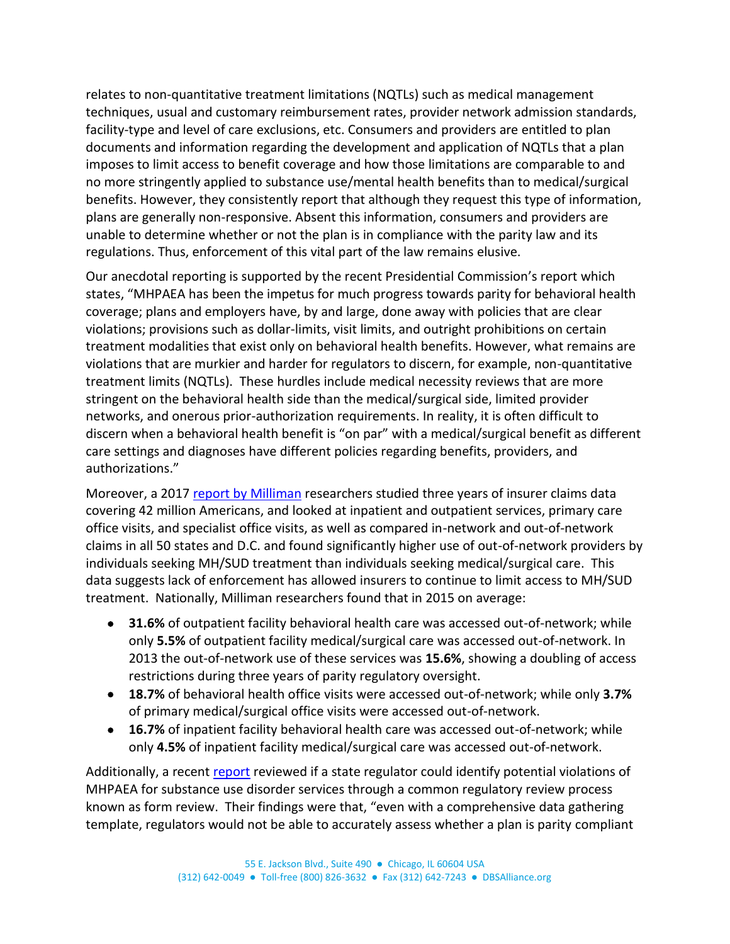relates to non-quantitative treatment limitations (NQTLs) such as medical management techniques, usual and customary reimbursement rates, provider network admission standards, facility-type and level of care exclusions, etc. Consumers and providers are entitled to plan documents and information regarding the development and application of NQTLs that a plan imposes to limit access to benefit coverage and how those limitations are comparable to and no more stringently applied to substance use/mental health benefits than to medical/surgical benefits. However, they consistently report that although they request this type of information, plans are generally non-responsive. Absent this information, consumers and providers are unable to determine whether or not the plan is in compliance with the parity law and its regulations. Thus, enforcement of this vital part of the law remains elusive.

Our anecdotal reporting is supported by the recent Presidential Commission's report which states, "MHPAEA has been the impetus for much progress towards parity for behavioral health coverage; plans and employers have, by and large, done away with policies that are clear violations; provisions such as dollar-limits, visit limits, and outright prohibitions on certain treatment modalities that exist only on behavioral health benefits. However, what remains are violations that are murkier and harder for regulators to discern, for example, non-quantitative treatment limits (NQTLs). These hurdles include medical necessity reviews that are more stringent on the behavioral health side than the medical/surgical side, limited provider networks, and onerous prior-authorization requirements. In reality, it is often difficult to discern when a behavioral health benefit is "on par" with a medical/surgical benefit as different care settings and diagnoses have different policies regarding benefits, providers, and authorizations."

Moreover, a 2017 [report by Milliman](http://www.milliman.com/NQTLDisparityAnalysis/) researchers studied three years of insurer claims data covering 42 million Americans, and looked at inpatient and outpatient services, primary care office visits, and specialist office visits, as well as compared in-network and out-of-network claims in all 50 states and D.C. and found significantly higher use of out-of-network providers by individuals seeking MH/SUD treatment than individuals seeking medical/surgical care. This data suggests lack of enforcement has allowed insurers to continue to limit access to MH/SUD treatment. Nationally, Milliman researchers found that in 2015 on average:

- **31.6%** of outpatient facility behavioral health care was accessed out-of-network; while only **5.5%** of outpatient facility medical/surgical care was accessed out-of-network. In 2013 the out-of-network use of these services was **15.6%**, showing a doubling of access restrictions during three years of parity regulatory oversight.
- **18.7%** of behavioral health office visits were accessed out-of-network; while only **3.7%** of primary medical/surgical office visits were accessed out-of-network.
- **16.7%** of inpatient facility behavioral health care was accessed out-of-network; while only **4.5%** of inpatient facility medical/surgical care was accessed out-of-network.

Additionally, a recent [report](https://lac.org/wp-content/uploads/2017/06/ES_ParityTrackingReport_ASC.pdf) reviewed if a state regulator could identify potential violations of MHPAEA for substance use disorder services through a common regulatory review process known as form review. Their findings were that, "even with a comprehensive data gathering template, regulators would not be able to accurately assess whether a plan is parity compliant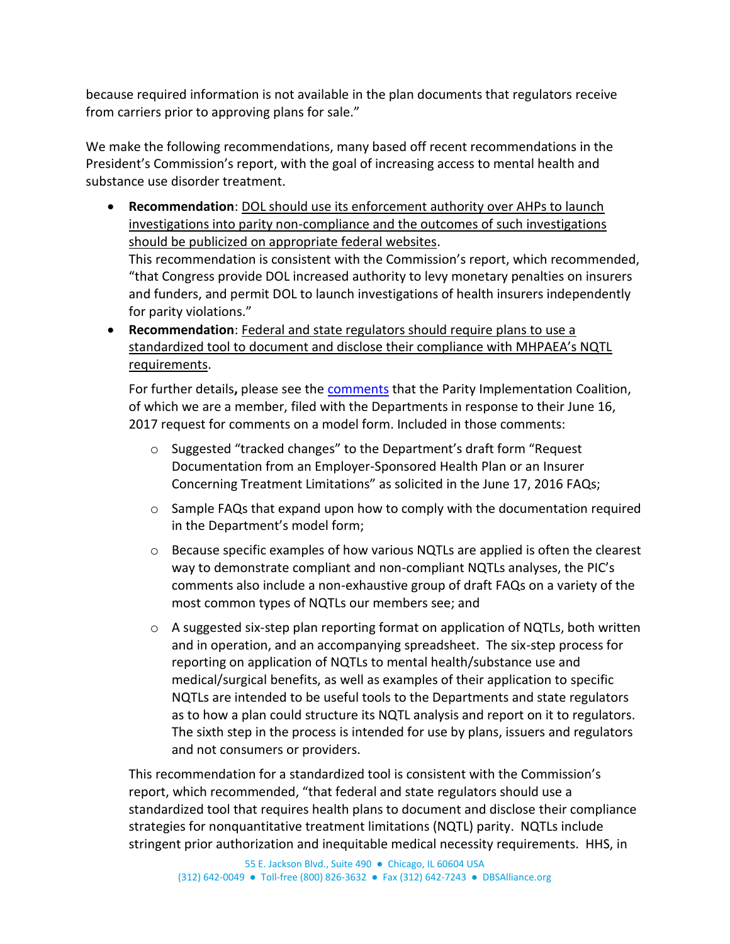because required information is not available in the plan documents that regulators receive from carriers prior to approving plans for sale."

We make the following recommendations, many based off recent recommendations in the President's Commission's report, with the goal of increasing access to mental health and substance use disorder treatment.

• **Recommendation**: DOL should use its enforcement authority over AHPs to launch investigations into parity non-compliance and the outcomes of such investigations should be publicized on appropriate federal websites.

This recommendation is consistent with the Commission's report, which recommended, "that Congress provide DOL increased authority to levy monetary penalties on insurers and funders, and permit DOL to launch investigations of health insurers independently for parity violations."

• **Recommendation**: Federal and state regulators should require plans to use a standardized tool to document and disclose their compliance with MHPAEA's NQTL requirements.

For further details**,** please see the [comments](https://www.dol.gov/sites/default/files/ebsa/laws-and-regulations/rules-and-regulations/public-comments/faq-38/00013.pdf) that the Parity Implementation Coalition, of which we are a member, filed with the Departments in response to their June 16, 2017 request for comments on a model form. Included in those comments:

- o Suggested "tracked changes" to the Department's draft form "Request Documentation from an Employer-Sponsored Health Plan or an Insurer Concerning Treatment Limitations" as solicited in the June 17, 2016 FAQs;
- $\circ$  Sample FAQs that expand upon how to comply with the documentation required in the Department's model form;
- o Because specific examples of how various NQTLs are applied is often the clearest way to demonstrate compliant and non-compliant NQTLs analyses, the PIC's comments also include a non-exhaustive group of draft FAQs on a variety of the most common types of NQTLs our members see; and
- $\circ$  A suggested six-step plan reporting format on application of NQTLs, both written and in operation, and an accompanying spreadsheet. The six-step process for reporting on application of NQTLs to mental health/substance use and medical/surgical benefits, as well as examples of their application to specific NQTLs are intended to be useful tools to the Departments and state regulators as to how a plan could structure its NQTL analysis and report on it to regulators. The sixth step in the process is intended for use by plans, issuers and regulators and not consumers or providers.

This recommendation for a standardized tool is consistent with the Commission's report, which recommended, "that federal and state regulators should use a standardized tool that requires health plans to document and disclose their compliance strategies for nonquantitative treatment limitations (NQTL) parity. NQTLs include stringent prior authorization and inequitable medical necessity requirements. HHS, in